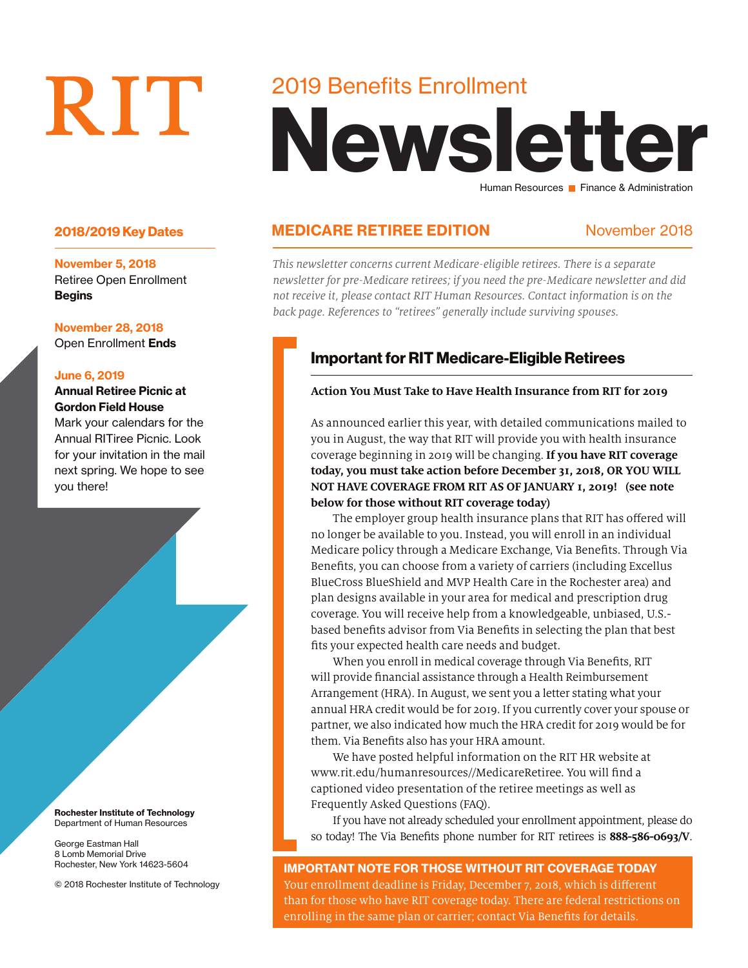# RIT

November 5, 2018 Retiree Open Enrollment Begins

#### November 28, 2018

Open Enrollment Ends

#### June 6, 2019

Annual Retiree Picnic at Gordon Field House Mark your calendars for the

Annual RITiree Picnic. Look for your invitation in the mail next spring. We hope to see you there!

Rochester Institute of Technology Department of Human Resources

George Eastman Hall 8 Lomb Memorial Drive Rochester, New York 14623-5604

© 2018 Rochester Institute of Technology

# 2019 Benefits Enrollment

# Newsletter Human Resources **Finance & Administration**

# 2018/2019 Key Dates **MEDICARE RETIREE EDITION** November 2018

*This newsletter concerns current Medicare-eligible retirees. There is a separate newsletter for pre-Medicare retirees; if you need the pre-Medicare newsletter and did not receive it, please contact RIT Human Resources. Contact information is on the back page. References to "retirees" generally include surviving spouses.*

# Important for RIT Medicare-Eligible Retirees

#### **Action You Must Take to Have Health Insurance from RIT for 2019**

As announced earlier this year, with detailed communications mailed to you in August, the way that RIT will provide you with health insurance coverage beginning in 2019 will be changing. **If you have RIT coverage today, you must take action before December 31, 2018, OR YOU WILL NOT HAVE COVERAGE FROM RIT AS OF JANUARY 1, 2019! (see note below for those without RIT coverage today)**

The employer group health insurance plans that RIT has offered will no longer be available to you. Instead, you will enroll in an individual Medicare policy through a Medicare Exchange, Via Benefits. Through Via Benefits, you can choose from a variety of carriers (including Excellus BlueCross BlueShield and MVP Health Care in the Rochester area) and plan designs available in your area for medical and prescription drug coverage. You will receive help from a knowledgeable, unbiased, U.S. based benefits advisor from Via Benefits in selecting the plan that best fits your expected health care needs and budget.

When you enroll in medical coverage through Via Benefits, RIT will provide financial assistance through a Health Reimbursement Arrangement (HRA). In August, we sent you a letter stating what your annual HRA credit would be for 2019. If you currently cover your spouse or partner, we also indicated how much the HRA credit for 2019 would be for them. Via Benefits also has your HRA amount.

We have posted helpful information on the RIT HR website at www.rit.edu/humanresources//MedicareRetiree. You will find a captioned video presentation of the retiree meetings as well as Frequently Asked Questions (FAQ).

If you have not already scheduled your enrollment appointment, please do so today! The Via Benefits phone number for RIT retirees is **888-586-0693/V**.

IMPORTANT NOTE FOR THOSE WITHOUT RIT COVERAGE TODAY Your enrollment deadline is Friday, December 7, 2018, which is different than for those who have RIT coverage today. There are federal restrictions on enrolling in the same plan or carrier; contact Via Benefits for details.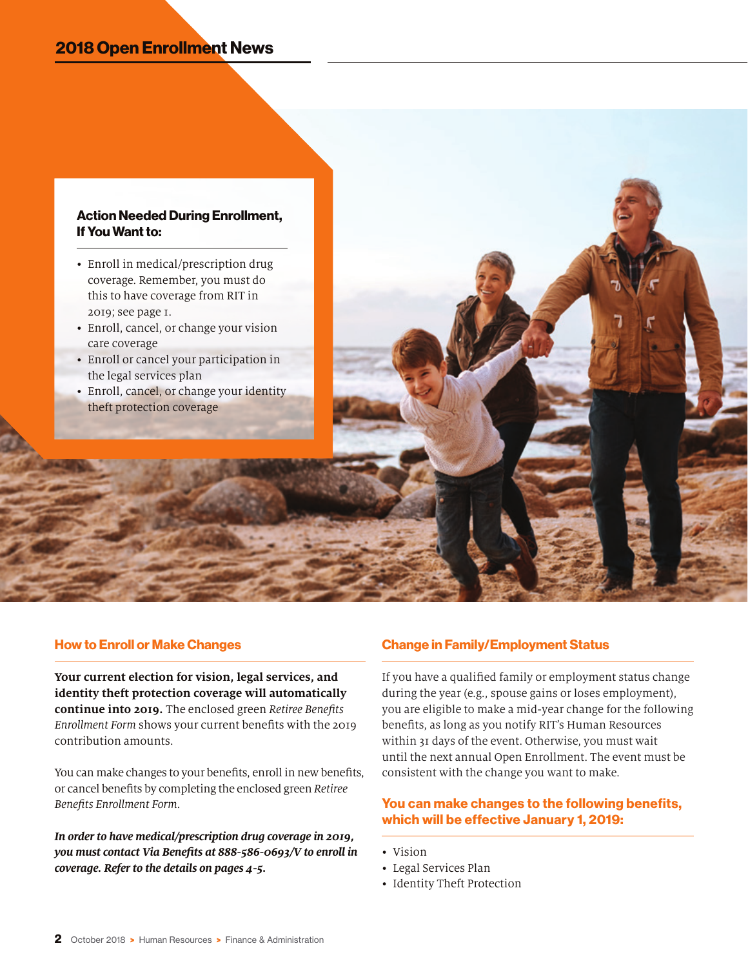# 2018 Open Enrollment News

#### Action Needed During Enrollment, If You Want to:

- Enroll in medical/prescription drug coverage. Remember, you must do this to have coverage from RIT in 2019; see page 1.
- Enroll, cancel, or change your vision care coverage
- Enroll or cancel your participation in the legal services plan
- Enroll, cancel, or change your identity theft protection coverage

#### How to Enroll or Make Changes

**Your current election for vision, legal services, and identity theft protection coverage will automatically continue into 2019.** The enclosed green *Retiree Benefits Enrollment Form* shows your current benefits with the 2019 contribution amounts.

You can make changes to your benefits, enroll in new benefits, or cancel benefits by completing the enclosed green *Retiree Benefits Enrollment Form*.

*In order to have medical/prescription drug coverage in 2019, you must contact Via Benefits at 888-586-0693/V to enroll in coverage. Refer to the details on pages 4-5.*

#### Change in Family/Employment Status

If you have a qualified family or employment status change during the year (e.g., spouse gains or loses employment), you are eligible to make a mid-year change for the following benefits, as long as you notify RIT's Human Resources within 31 days of the event. Otherwise, you must wait until the next annual Open Enrollment. The event must be consistent with the change you want to make.

#### You can make changes to the following benefits, which will be effective January 1, 2019:

- Vision
- Legal Services Plan
- Identity Theft Protection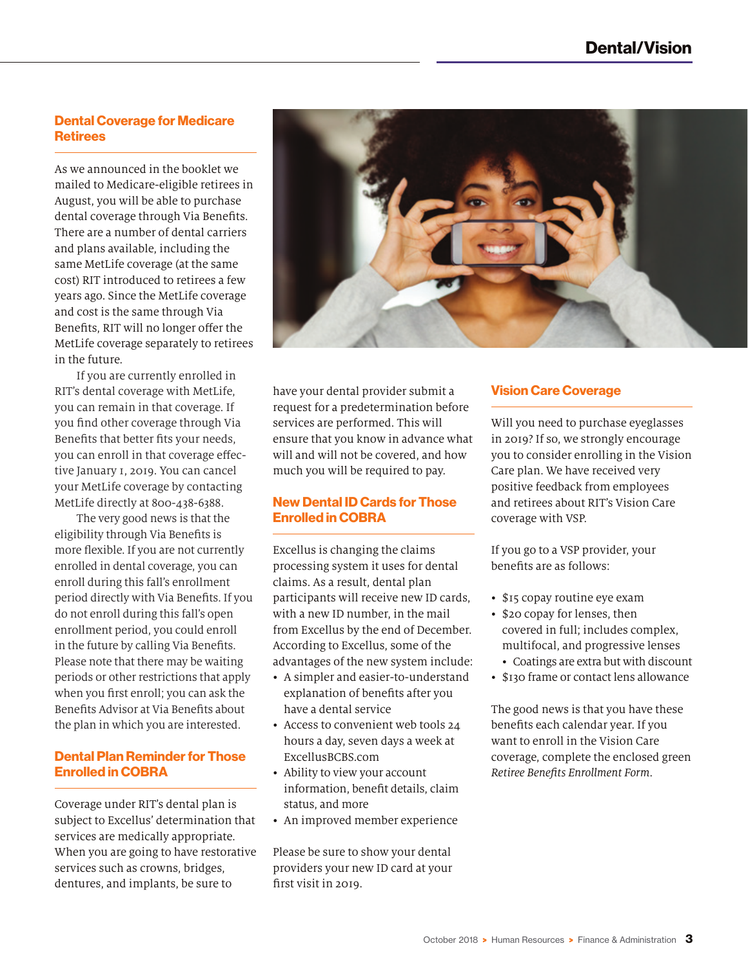#### Dental Coverage for Medicare **Retirees**

As we announced in the booklet we mailed to Medicare-eligible retirees in August, you will be able to purchase dental coverage through Via Benefits. There are a number of dental carriers and plans available, including the same MetLife coverage (at the same cost) RIT introduced to retirees a few years ago. Since the MetLife coverage and cost is the same through Via Benefits, RIT will no longer offer the MetLife coverage separately to retirees in the future.

If you are currently enrolled in RIT's dental coverage with MetLife, you can remain in that coverage. If you find other coverage through Via Benefits that better fits your needs, you can enroll in that coverage effective January 1, 2019. You can cancel your MetLife coverage by contacting MetLife directly at 800-438-6388.

The very good news is that the eligibility through Via Benefits is more flexible. If you are not currently enrolled in dental coverage, you can enroll during this fall's enrollment period directly with Via Benefits. If you do not enroll during this fall's open enrollment period, you could enroll in the future by calling Via Benefits. Please note that there may be waiting periods or other restrictions that apply when you first enroll; you can ask the Benefits Advisor at Via Benefits about the plan in which you are interested.

#### Dental Plan Reminder for Those Enrolled in COBRA

Coverage under RIT's dental plan is subject to Excellus' determination that services are medically appropriate. When you are going to have restorative services such as crowns, bridges, dentures, and implants, be sure to



have your dental provider submit a request for a predetermination before services are performed. This will ensure that you know in advance what will and will not be covered, and how much you will be required to pay.

#### New Dental ID Cards for Those Enrolled in COBRA

Excellus is changing the claims processing system it uses for dental claims. As a result, dental plan participants will receive new ID cards, with a new ID number, in the mail from Excellus by the end of December. According to Excellus, some of the advantages of the new system include:

- A simpler and easier-to-understand explanation of benefits after you have a dental service
- Access to convenient web tools 24 hours a day, seven days a week at ExcellusBCBS.com
- Ability to view your account information, benefit details, claim status, and more
- An improved member experience

Please be sure to show your dental providers your new ID card at your first visit in 2019.

#### Vision Care Coverage

Will you need to purchase eyeglasses in 2019? If so, we strongly encourage you to consider enrolling in the Vision Care plan. We have received very positive feedback from employees and retirees about RIT's Vision Care coverage with VSP.

If you go to a VSP provider, your benefits are as follows:

- \$15 copay routine eye exam
- \$20 copay for lenses, then covered in full; includes complex, multifocal, and progressive lenses
- Coatings are extra but with discount
- \$130 frame or contact lens allowance

The good news is that you have these benefits each calendar year. If you want to enroll in the Vision Care coverage, complete the enclosed green *Retiree Benefits Enrollment Form*.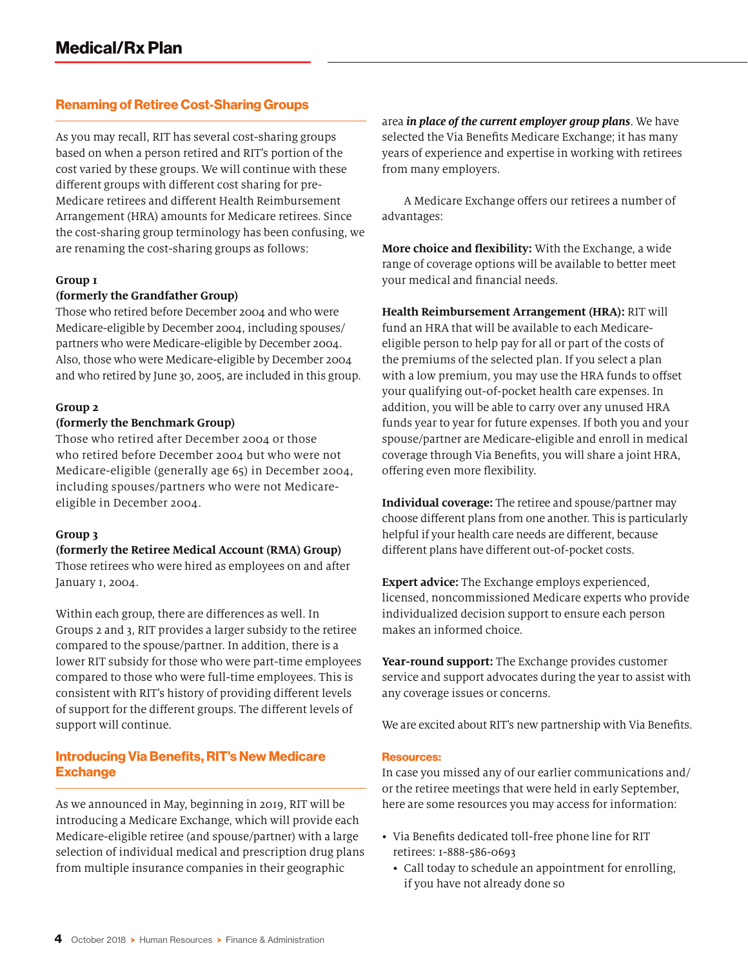#### Renaming of Retiree Cost-Sharing Groups

As you may recall, RIT has several cost-sharing groups based on when a person retired and RIT's portion of the cost varied by these groups. We will continue with these different groups with different cost sharing for pre-Medicare retirees and different Health Reimbursement Arrangement (HRA) amounts for Medicare retirees. Since the cost-sharing group terminology has been confusing, we are renaming the cost-sharing groups as follows:

#### **Group 1**

#### **(formerly the Grandfather Group)**

Those who retired before December 2004 and who were Medicare-eligible by December 2004, including spouses/ partners who were Medicare-eligible by December 2004. Also, those who were Medicare-eligible by December 2004 and who retired by June 30, 2005, are included in this group.

#### **Group 2**

#### **(formerly the Benchmark Group)**

Those who retired after December 2004 or those who retired before December 2004 but who were not Medicare-eligible (generally age 65) in December 2004, including spouses/partners who were not Medicareeligible in December 2004.

#### **Group 3**

#### **(formerly the Retiree Medical Account (RMA) Group)**

Those retirees who were hired as employees on and after January 1, 2004.

Within each group, there are differences as well. In Groups 2 and 3, RIT provides a larger subsidy to the retiree compared to the spouse/partner. In addition, there is a lower RIT subsidy for those who were part-time employees compared to those who were full-time employees. This is consistent with RIT's history of providing different levels of support for the different groups. The different levels of support will continue.

#### Introducing Via Benefits, RIT's New Medicare **Exchange**

As we announced in May, beginning in 2019, RIT will be introducing a Medicare Exchange, which will provide each Medicare-eligible retiree (and spouse/partner) with a large selection of individual medical and prescription drug plans from multiple insurance companies in their geographic

area *in place of the current employer group plans*. We have selected the Via Benefits Medicare Exchange; it has many years of experience and expertise in working with retirees from many employers.

A Medicare Exchange offers our retirees a number of advantages:

**More choice and flexibility:** With the Exchange, a wide range of coverage options will be available to better meet your medical and financial needs.

**Health Reimbursement Arrangement (HRA):** RIT will fund an HRA that will be available to each Medicareeligible person to help pay for all or part of the costs of the premiums of the selected plan. If you select a plan with a low premium, you may use the HRA funds to offset your qualifying out-of-pocket health care expenses. In addition, you will be able to carry over any unused HRA funds year to year for future expenses. If both you and your spouse/partner are Medicare-eligible and enroll in medical coverage through Via Benefits, you will share a joint HRA, offering even more flexibility.

**Individual coverage:** The retiree and spouse/partner may choose different plans from one another. This is particularly helpful if your health care needs are different, because different plans have different out-of-pocket costs.

**Expert advice:** The Exchange employs experienced, licensed, noncommissioned Medicare experts who provide individualized decision support to ensure each person makes an informed choice.

**Year-round support:** The Exchange provides customer service and support advocates during the year to assist with any coverage issues or concerns.

We are excited about RIT's new partnership with Via Benefits.

#### Resources:

In case you missed any of our earlier communications and/ or the retiree meetings that were held in early September, here are some resources you may access for information:

- Via Benefits dedicated toll-free phone line for RIT retirees: 1-888-586-0693
	- Call today to schedule an appointment for enrolling, if you have not already done so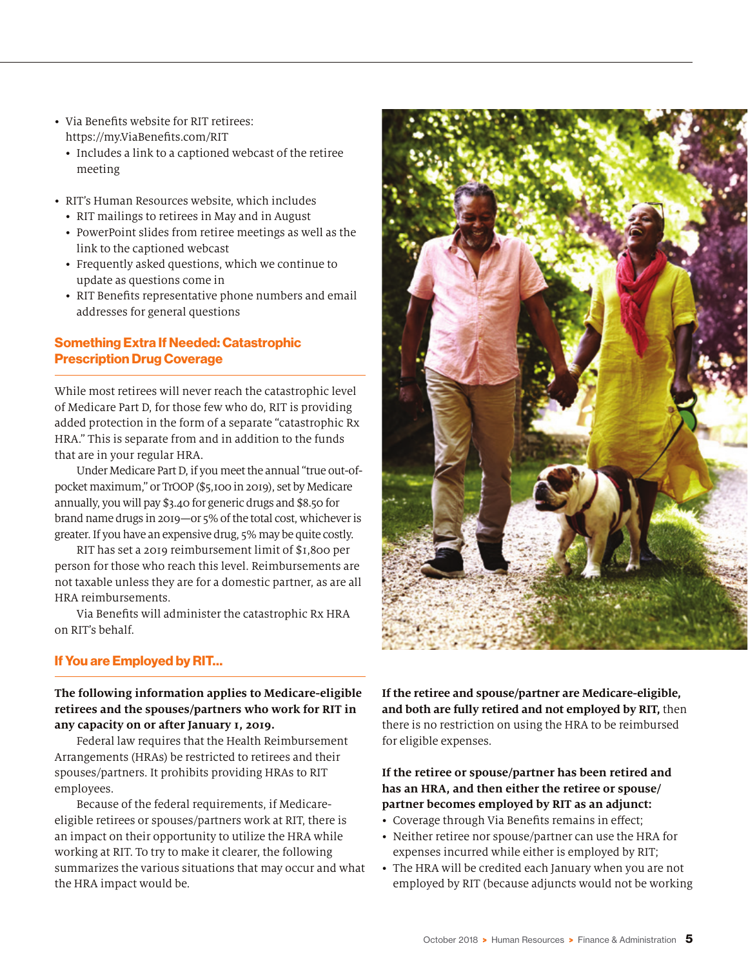- Via Benefits website for RIT retirees: https://my.ViaBenefits.com/RIT
	- Includes a link to a captioned webcast of the retiree meeting
- RIT's Human Resources website, which includes
	- RIT mailings to retirees in May and in August
	- PowerPoint slides from retiree meetings as well as the link to the captioned webcast
	- Frequently asked questions, which we continue to update as questions come in
	- RIT Benefits representative phone numbers and email addresses for general questions

### Something Extra If Needed: Catastrophic Prescription Drug Coverage

While most retirees will never reach the catastrophic level of Medicare Part D, for those few who do, RIT is providing added protection in the form of a separate "catastrophic Rx HRA." This is separate from and in addition to the funds that are in your regular HRA.

Under Medicare Part D, if you meet the annual "true out-ofpocket maximum," or TrOOP (\$5,100 in 2019), set by Medicare annually, you will pay \$3.40 for generic drugs and \$8.50 for brand name drugs in 2019—or 5% of the total cost, whichever is greater. If you have an expensive drug, 5% may be quite costly.

RIT has set a 2019 reimbursement limit of \$1,800 per person for those who reach this level. Reimbursements are not taxable unless they are for a domestic partner, as are all HRA reimbursements.

Via Benefits will administer the catastrophic Rx HRA on RIT's behalf.

## If You are Employed by RIT…

#### **The following information applies to Medicare-eligible retirees and the spouses/partners who work for RIT in any capacity on or after January 1, 2019.**

Federal law requires that the Health Reimbursement Arrangements (HRAs) be restricted to retirees and their spouses/partners. It prohibits providing HRAs to RIT employees.

Because of the federal requirements, if Medicareeligible retirees or spouses/partners work at RIT, there is an impact on their opportunity to utilize the HRA while working at RIT. To try to make it clearer, the following summarizes the various situations that may occur and what the HRA impact would be.

**If the retiree and spouse/partner are Medicare-eligible, and both are fully retired and not employed by RIT,** then there is no restriction on using the HRA to be reimbursed for eligible expenses.

#### **If the retiree or spouse/partner has been retired and has an HRA, and then either the retiree or spouse/ partner becomes employed by RIT as an adjunct:**

- Coverage through Via Benefits remains in effect;
- Neither retiree nor spouse/partner can use the HRA for expenses incurred while either is employed by RIT;
- The HRA will be credited each January when you are not employed by RIT (because adjuncts would not be working

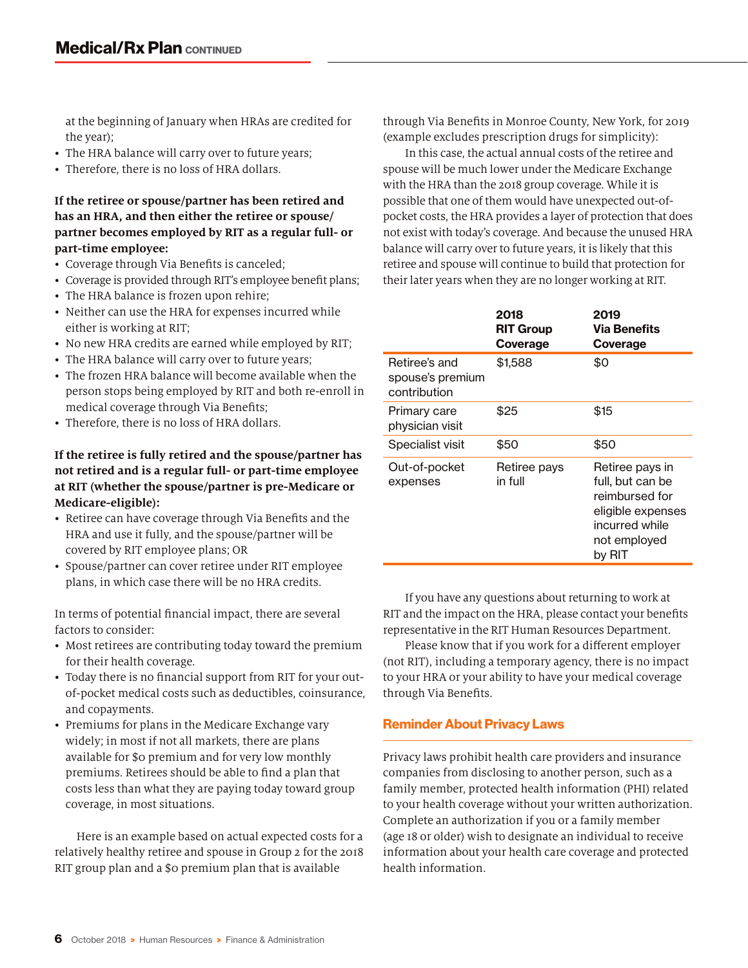at the beginning of January when HRAs are credited for the year);

- The HRA balance will carry over to future years;
- Therefore, there is no loss of HRA dollars.

#### **If the retiree or spouse/partner has been retired and has an HRA, and then either the retiree or spouse/ partner becomes employed by RIT as a regular full- or part-time employee:**

- Coverage through Via Benefits is canceled;
- Coverage is provided through RIT's employee benefit plans;
- The HRA balance is frozen upon rehire;
- Neither can use the HRA for expenses incurred while either is working at RIT;
- No new HRA credits are earned while employed by RIT;
- The HRA balance will carry over to future years;
- The frozen HRA balance will become available when the person stops being employed by RIT and both re-enroll in medical coverage through Via Benefits;
- Therefore, there is no loss of HRA dollars.

#### **If the retiree is fully retired and the spouse/partner has not retired and is a regular full- or part-time employee at RIT (whether the spouse/partner is pre-Medicare or Medicare-eligible):**

- Retiree can have coverage through Via Benefits and the HRA and use it fully, and the spouse/partner will be covered by RIT employee plans; OR
- Spouse/partner can cover retiree under RIT employee plans, in which case there will be no HRA credits.

In terms of potential financial impact, there are several factors to consider:

- Most retirees are contributing today toward the premium for their health coverage.
- Today there is no financial support from RIT for your outof-pocket medical costs such as deductibles, coinsurance, and copayments.
- Premiums for plans in the Medicare Exchange vary widely; in most if not all markets, there are plans available for \$0 premium and for very low monthly premiums. Retirees should be able to find a plan that costs less than what they are paying today toward group coverage, in most situations.

Here is an example based on actual expected costs for a relatively healthy retiree and spouse in Group 2 for the 2018 RIT group plan and a \$0 premium plan that is available

through Via Benefits in Monroe County, New York, for 2019 (example excludes prescription drugs for simplicity):

In this case, the actual annual costs of the retiree and spouse will be much lower under the Medicare Exchange with the HRA than the 2018 group coverage. While it is possible that one of them would have unexpected out-ofpocket costs, the HRA provides a layer of protection that does not exist with today's coverage. And because the unused HRA balance will carry over to future years, it is likely that this retiree and spouse will continue to build that protection for their later years when they are no longer working at RIT.

|                                                   | 2018<br><b>RIT Group</b><br>Coverage | 2019<br>Via Benefits<br>Coverage                                                                                       |  |
|---------------------------------------------------|--------------------------------------|------------------------------------------------------------------------------------------------------------------------|--|
| Retiree's and<br>spouse's premium<br>contribution | \$1,588                              | \$0                                                                                                                    |  |
| Primary care<br>physician visit                   | \$25                                 | \$15                                                                                                                   |  |
| Specialist visit                                  | \$50                                 | \$50                                                                                                                   |  |
| Out-of-pocket<br>expenses                         | Retiree pays<br>in full              | Retiree pays in<br>full, but can be<br>reimbursed for<br>eligible expenses<br>incurred while<br>not employed<br>by RIT |  |

If you have any questions about returning to work at RIT and the impact on the HRA, please contact your benefits representative in the RIT Human Resources Department.

Please know that if you work for a different employer (not RIT), including a temporary agency, there is no impact to your HRA or your ability to have your medical coverage through Via Benefits.

#### Reminder About Privacy Laws

Privacy laws prohibit health care providers and insurance companies from disclosing to another person, such as a family member, protected health information (PHI) related to your health coverage without your written authorization. Complete an authorization if you or a family member (age 18 or older) wish to designate an individual to receive information about your health care coverage and protected health information.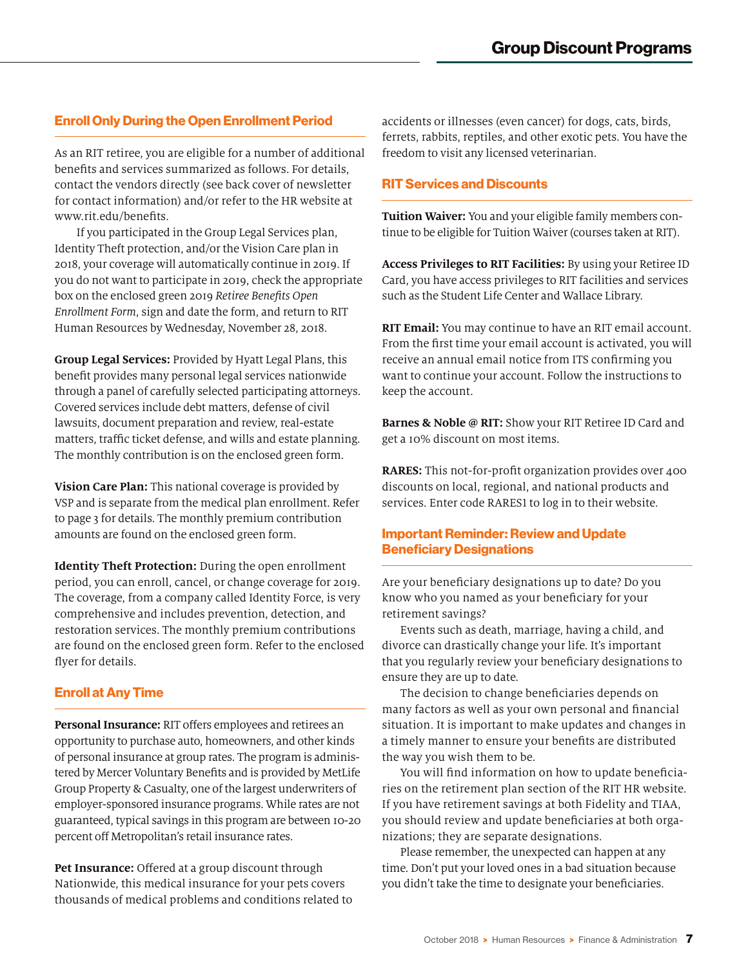# Enroll Only During the Open Enrollment Period

As an RIT retiree, you are eligible for a number of additional benefits and services summarized as follows. For details, contact the vendors directly (see back cover of newsletter for contact information) and/or refer to the HR website at www.rit.edu/benefits.

If you participated in the Group Legal Services plan, Identity Theft protection, and/or the Vision Care plan in 2018, your coverage will automatically continue in 2019. If you do not want to participate in 2019, check the appropriate box on the enclosed green 2019 *Retiree Benefits Open Enrollment Form*, sign and date the form, and return to RIT Human Resources by Wednesday, November 28, 2018.

**Group Legal Services:** Provided by Hyatt Legal Plans, this benefit provides many personal legal services nationwide through a panel of carefully selected participating attorneys. Covered services include debt matters, defense of civil lawsuits, document preparation and review, real-estate matters, traffic ticket defense, and wills and estate planning. The monthly contribution is on the enclosed green form.

**Vision Care Plan:** This national coverage is provided by VSP and is separate from the medical plan enrollment. Refer to page 3 for details. The monthly premium contribution amounts are found on the enclosed green form.

**Identity Theft Protection:** During the open enrollment period, you can enroll, cancel, or change coverage for 2019. The coverage, from a company called Identity Force, is very comprehensive and includes prevention, detection, and restoration services. The monthly premium contributions are found on the enclosed green form. Refer to the enclosed flyer for details.

#### Enroll at Any Time

**Personal Insurance:** RIT offers employees and retirees an opportunity to purchase auto, homeowners, and other kinds of personal insurance at group rates. The program is administered by Mercer Voluntary Benefits and is provided by MetLife Group Property & Casualty, one of the largest underwriters of employer-sponsored insurance programs. While rates are not guaranteed, typical savings in this program are between 10-20 percent off Metropolitan's retail insurance rates.

**Pet Insurance:** Offered at a group discount through Nationwide, this medical insurance for your pets covers thousands of medical problems and conditions related to accidents or illnesses (even cancer) for dogs, cats, birds, ferrets, rabbits, reptiles, and other exotic pets. You have the freedom to visit any licensed veterinarian.

#### RIT Services and Discounts

**Tuition Waiver:** You and your eligible family members continue to be eligible for Tuition Waiver (courses taken at RIT).

**Access Privileges to RIT Facilities:** By using your Retiree ID Card, you have access privileges to RIT facilities and services such as the Student Life Center and Wallace Library.

**RIT Email:** You may continue to have an RIT email account. From the first time your email account is activated, you will receive an annual email notice from ITS confirming you want to continue your account. Follow the instructions to keep the account.

**Barnes & Noble @ RIT:** Show your RIT Retiree ID Card and get a 10% discount on most items.

**RARES:** This not-for-profit organization provides over 400 discounts on local, regional, and national products and services. Enter code RARES1 to log in to their website.

#### Important Reminder: Review and Update Beneficiary Designations

Are your beneficiary designations up to date? Do you know who you named as your beneficiary for your retirement savings?

Events such as death, marriage, having a child, and divorce can drastically change your life. It's important that you regularly review your beneficiary designations to ensure they are up to date.

The decision to change beneficiaries depends on many factors as well as your own personal and financial situation. It is important to make updates and changes in a timely manner to ensure your benefits are distributed the way you wish them to be.

You will find information on how to update beneficiaries on the retirement plan section of the RIT HR website. If you have retirement savings at both Fidelity and TIAA, you should review and update beneficiaries at both organizations; they are separate designations.

Please remember, the unexpected can happen at any time. Don't put your loved ones in a bad situation because you didn't take the time to designate your beneficiaries.